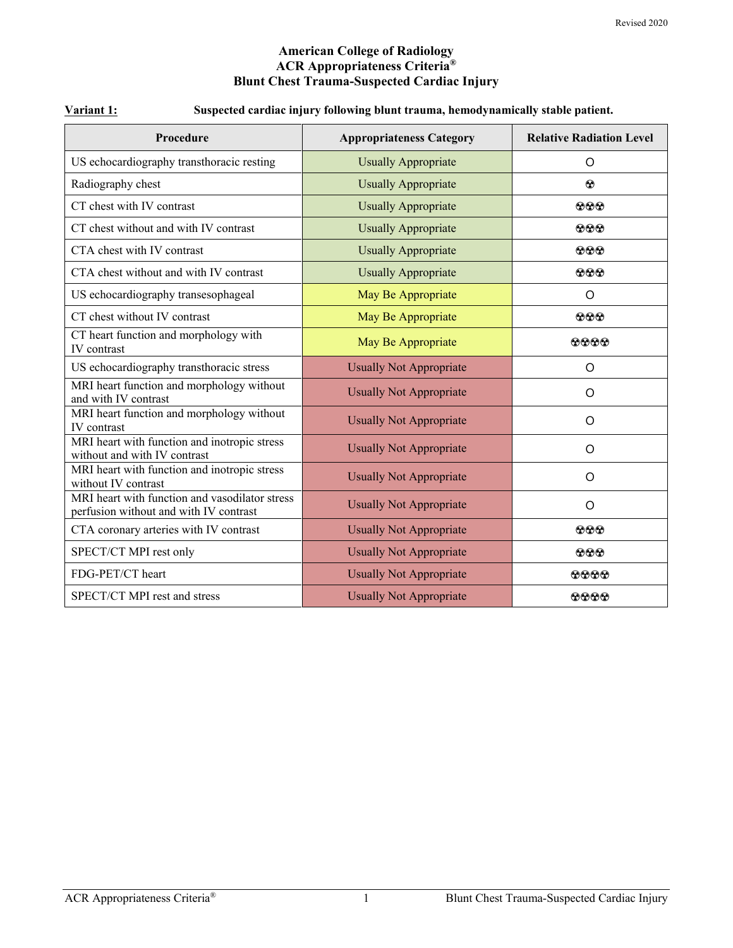### **American College of Radiology ACR Appropriateness Criteria® Blunt Chest Trauma-Suspected Cardiac Injury**

| Variant 1: | Suspected cardiac injury following blunt trauma, hemodynamically stable patient. |  |
|------------|----------------------------------------------------------------------------------|--|
|            |                                                                                  |  |

| Procedure                                                                                | <b>Appropriateness Category</b> | <b>Relative Radiation Level</b> |
|------------------------------------------------------------------------------------------|---------------------------------|---------------------------------|
| US echocardiography transthoracic resting                                                | <b>Usually Appropriate</b>      | O                               |
| Radiography chest                                                                        | <b>Usually Appropriate</b>      | $\odot$                         |
| CT chest with IV contrast                                                                | <b>Usually Appropriate</b>      | $\bf{O} \bf{O} \bf{O}$          |
| CT chest without and with IV contrast                                                    | <b>Usually Appropriate</b>      | 000                             |
| CTA chest with IV contrast                                                               | <b>Usually Appropriate</b>      | 000                             |
| CTA chest without and with IV contrast                                                   | <b>Usually Appropriate</b>      | $\odot \odot \odot$             |
| US echocardiography transesophageal                                                      | May Be Appropriate              | $\circ$                         |
| CT chest without IV contrast                                                             | May Be Appropriate              | $\odot$ $\odot$                 |
| CT heart function and morphology with<br><b>IV</b> contrast                              | May Be Appropriate              | 0000                            |
| US echocardiography transthoracic stress                                                 | <b>Usually Not Appropriate</b>  | $\circ$                         |
| MRI heart function and morphology without<br>and with IV contrast                        | <b>Usually Not Appropriate</b>  | O                               |
| MRI heart function and morphology without<br>IV contrast                                 | <b>Usually Not Appropriate</b>  | O                               |
| MRI heart with function and inotropic stress<br>without and with IV contrast             | <b>Usually Not Appropriate</b>  | O                               |
| MRI heart with function and inotropic stress<br>without IV contrast                      | <b>Usually Not Appropriate</b>  | O                               |
| MRI heart with function and vasodilator stress<br>perfusion without and with IV contrast | <b>Usually Not Appropriate</b>  | O                               |
| CTA coronary arteries with IV contrast                                                   | <b>Usually Not Appropriate</b>  | 000                             |
| SPECT/CT MPI rest only                                                                   | <b>Usually Not Appropriate</b>  | $\bf{O} \bf{O} \bf{O}$          |
| FDG-PET/CT heart                                                                         | <b>Usually Not Appropriate</b>  | 0000                            |
| SPECT/CT MPI rest and stress                                                             | <b>Usually Not Appropriate</b>  | 0000                            |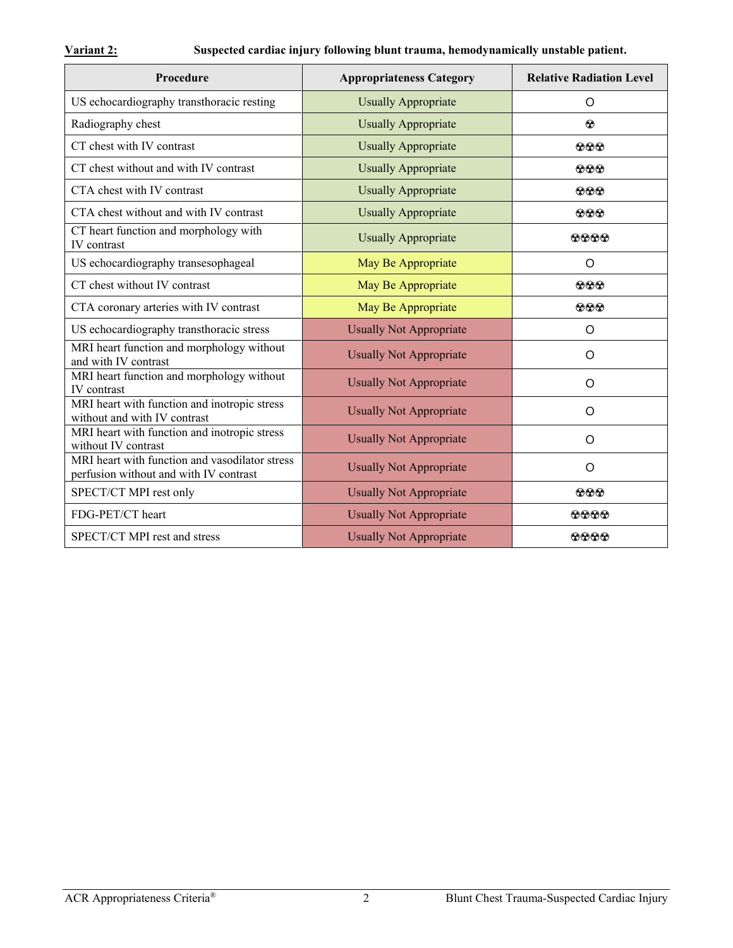| Procedure                                                                                | <b>Appropriateness Category</b> | <b>Relative Radiation Level</b> |
|------------------------------------------------------------------------------------------|---------------------------------|---------------------------------|
| US echocardiography transthoracic resting                                                | <b>Usually Appropriate</b>      | O                               |
| Radiography chest                                                                        | <b>Usually Appropriate</b>      | $^\circledR$                    |
| CT chest with IV contrast                                                                | <b>Usually Appropriate</b>      | $\bf{O} \bf{O} \bf{O}$          |
| CT chest without and with IV contrast                                                    | <b>Usually Appropriate</b>      | $\odot \odot \odot$             |
| CTA chest with IV contrast                                                               | <b>Usually Appropriate</b>      | 000                             |
| CTA chest without and with IV contrast                                                   | <b>Usually Appropriate</b>      | $\odot \odot \odot$             |
| CT heart function and morphology with<br>IV contrast                                     | <b>Usually Appropriate</b>      | 0000                            |
| US echocardiography transesophageal                                                      | May Be Appropriate              | O                               |
| CT chest without IV contrast                                                             | May Be Appropriate              | $\odot \odot \odot$             |
| CTA coronary arteries with IV contrast                                                   | May Be Appropriate              | $\odot \odot \odot$             |
| US echocardiography transthoracic stress                                                 | <b>Usually Not Appropriate</b>  | O                               |
| MRI heart function and morphology without<br>and with IV contrast                        | <b>Usually Not Appropriate</b>  | O                               |
| MRI heart function and morphology without<br>IV contrast                                 | <b>Usually Not Appropriate</b>  | O                               |
| MRI heart with function and inotropic stress<br>without and with IV contrast             | <b>Usually Not Appropriate</b>  | O                               |
| MRI heart with function and inotropic stress<br>without IV contrast                      | <b>Usually Not Appropriate</b>  | O                               |
| MRI heart with function and vasodilator stress<br>perfusion without and with IV contrast | <b>Usually Not Appropriate</b>  | O                               |
| SPECT/CT MPI rest only                                                                   | <b>Usually Not Appropriate</b>  | $\bf{O} \bf{O} \bf{O}$          |
| FDG-PET/CT heart                                                                         | <b>Usually Not Appropriate</b>  | 0000                            |
| SPECT/CT MPI rest and stress                                                             | <b>Usually Not Appropriate</b>  | 0000                            |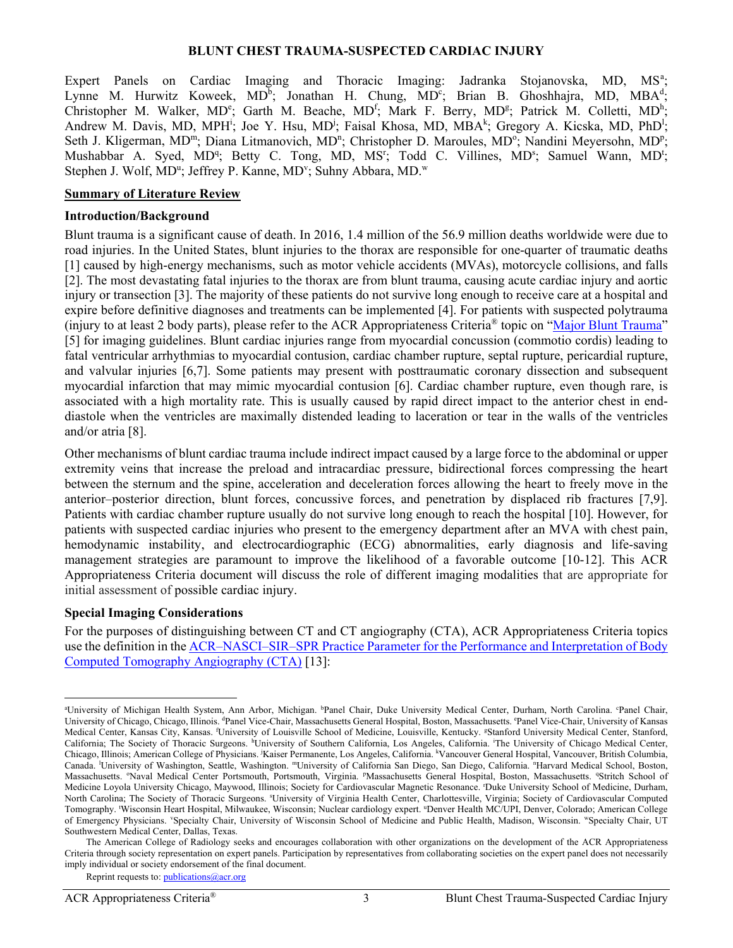#### **BLUNT CHEST TRAUMA-SUSPECTED CARDIAC INJURY**

Expert P[a](#page-2-0)nels on Cardiac Imaging and Thoracic Imaging: Jadranka Stojanovska, MD, MS<sup>a</sup>; Lynne M. Hurwitz Koweek, MD<sup>b</sup>; Jonathan H. Chung, MD<sup>c</sup>; Brian B. Ghoshhajra, MD, MBA<sup>d</sup>; Christopher M. Walker, MD<sup>e</sup>; Garth M. Beache, MD<sup>f</sup>; Mark F. Berry, MD<sup>g</sup>; Patrick M. Colletti, MD<sup>h</sup>; Andrew M. Davis, MD, MPH<sup>i</sup>; Joe Y. Hsu, MD<sup>j</sup>; Faisal Khosa, MD, MBA<sup>k</sup>; Gregory A. Kicska, MD, PhD<sup>l</sup>; Seth J. Kligerman, MD<sup>m</sup>; Diana Litmanovich, MD<sup>n</sup>; Christopher D. Maroules, MD°; Nandini Meyersohn, MD<sup>p</sup>; Mushabbar A. Syed, MD<sup>q</sup>; Betty C. Tong, MD, MS<sup>r</sup>; Todd C. Villines, MD<sup>s</sup>; Samuel Wann, MD<sup>t</sup>; Stephen J. Wolf, MD<sup>u</sup>; Jeffrey P. Kanne, MD<sup>v</sup>; Suhny Abbara, MD.<sup>w</sup>

### **Summary of Literature Review**

#### **Introduction/Background**

Blunt trauma is a significant cause of death. In 2016, 1.4 million of the 56.9 million deaths worldwide were due to road injuries. In the United States, blunt injuries to the thorax are responsible for one-quarter of traumatic deaths [1] caused by high-energy mechanisms, such as motor vehicle accidents (MVAs), motorcycle collisions, and falls [2]. The most devastating fatal injuries to the thorax are from blunt trauma, causing acute cardiac injury and aortic injury or transection [3]. The majority of these patients do not survive long enough to receive care at a hospital and expire before definitive diagnoses and treatments can be implemented [4]. For patients with suspected polytrauma (injury to at least 2 body parts), please refer to the ACR Appropriateness Criteria® topic on ["Major Blunt](https://acsearch.acr.org/docs/3102405/Narrative/) Trauma" [5] for imaging guidelines. Blunt cardiac injuries range from myocardial concussion (commotio cordis) leading to fatal ventricular arrhythmias to myocardial contusion, cardiac chamber rupture, septal rupture, pericardial rupture, and valvular injuries [6,7]. Some patients may present with posttraumatic coronary dissection and subsequent myocardial infarction that may mimic myocardial contusion [6]. Cardiac chamber rupture, even though rare, is associated with a high mortality rate. This is usually caused by rapid direct impact to the anterior chest in enddiastole when the ventricles are maximally distended leading to laceration or tear in the walls of the ventricles and/or atria [8].

Other mechanisms of blunt cardiac trauma include indirect impact caused by a large force to the abdominal or upper extremity veins that increase the preload and intracardiac pressure, bidirectional forces compressing the heart between the sternum and the spine, acceleration and deceleration forces allowing the heart to freely move in the anterior–posterior direction, blunt forces, concussive forces, and penetration by displaced rib fractures [7,9]. Patients with cardiac chamber rupture usually do not survive long enough to reach the hospital [10]. However, for patients with suspected cardiac injuries who present to the emergency department after an MVA with chest pain, hemodynamic instability, and electrocardiographic (ECG) abnormalities, early diagnosis and life-saving management strategies are paramount to improve the likelihood of a favorable outcome [10-12]. This ACR Appropriateness Criteria document will discuss the role of different imaging modalities that are appropriate for initial assessment of possible cardiac injury.

#### **Special Imaging Considerations**

For the purposes of distinguishing between CT and CT angiography (CTA), ACR Appropriateness Criteria topics use the definition in the [ACR–NASCI–SIR–SPR Practice Parameter for the Performance](https://www.acr.org/-/media/ACR/Files/Practice-Parameters/body-cta.pdf?la=en) [and Interpretation of Body](https://www.acr.org/-/media/ACR/Files/Practice-Parameters/body-cta.pdf?la=en)  [Computed Tomography Angiography \(CTA\)](https://www.acr.org/-/media/ACR/Files/Practice-Parameters/body-cta.pdf?la=en) [13]:

<span id="page-2-0"></span>e<br>a University of Michigan Health System, Ann Arbor, Michigan. <sup>b</sup>Panel Chair, Duke University Medical Center, Durham, North Carolina. <sup>c</sup>Panel Chair, University of Chicago, Chicago, Illinois. <sup>d</sup>Panel Vice-Chair, Massachusetts General Hospital, Boston, Massachusetts. <sup>e</sup>Panel Vice-Chair, University of Kansas Medical Center, Kansas City, Kansas. <sup>f</sup>University of Louisville School of Medicine, Louisville, Kentucky. <sup>8</sup>Stanford University Medical Center, Stanford, California; The Society of Thoracic Surgeons. h University of Southern California, Los Angeles, California. i The University of Chicago Medical Center, Chicago, Illinois; American College of Physicians. Kaiser Permanente, Los Angeles, California. KVancouver General Hospital, Vancouver, British Columbia, Canada. <sup>1</sup>University of Washington, Seattle, Washington. ""University of California San Diego, San Diego, California. "Harvard Medical School, Boston, Massachusetts. °Naval Medical Center Portsmouth, Portsmouth, Virginia. <sup>P</sup>Massachusetts General Hospital, Boston, Massachusetts. °Stritch School of Medicine Loyola University Chicago, Maywood, Illinois; Society for Cardiovascular Magnetic Resonance. r Duke University School of Medicine, Durham, North Carolina; The Society of Thoracic Surgeons. <sup>8</sup>University of Virginia Health Center, Charlottesville, Virginia; Society of Cardiovascular Computed Tomography. 'Wisconsin Heart Hospital, Milwaukee, Wisconsin; Nuclear cardiology expert. "Denver Health MC/UPI, Denver, Colorado; American College of Emergency Physicians. 'Specialty Chair, University of Wisconsin School of Medicine and Public Health, Madison, Wisconsin. "Specialty Chair, UT Southwestern Medical Center, Dallas, Texas.

The American College of Radiology seeks and encourages collaboration with other organizations on the development of the ACR Appropriateness Criteria through society representation on expert panels. Participation by representatives from collaborating societies on the expert panel does not necessarily imply individual or society endorsement of the final document.

Reprint requests to[: publications@acr.org](mailto:publications@acr.org)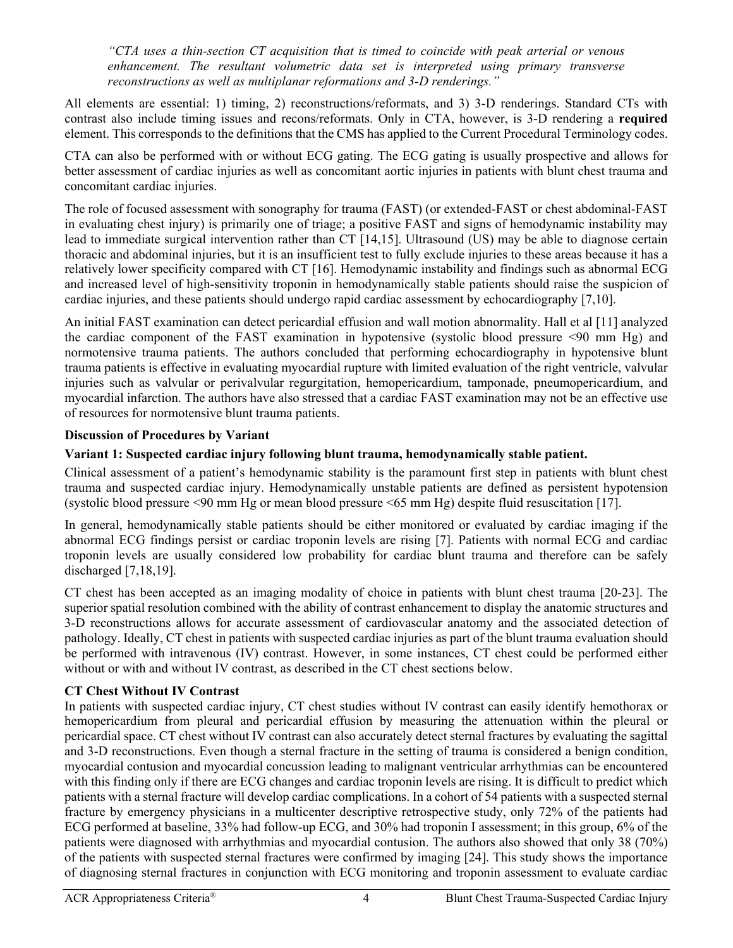*"CTA uses a thin-section CT acquisition that is timed to coincide with peak arterial or venous enhancement. The resultant volumetric data set is interpreted using primary transverse reconstructions as well as multiplanar reformations and 3-D renderings."*

All elements are essential: 1) timing, 2) reconstructions/reformats, and 3) 3-D renderings. Standard CTs with contrast also include timing issues and recons/reformats. Only in CTA, however, is 3-D rendering a **required** element. This corresponds to the definitions that the CMS has applied to the Current Procedural Terminology codes.

CTA can also be performed with or without ECG gating. The ECG gating is usually prospective and allows for better assessment of cardiac injuries as well as concomitant aortic injuries in patients with blunt chest trauma and concomitant cardiac injuries.

The role of focused assessment with sonography for trauma (FAST) (or extended-FAST or chest abdominal-FAST in evaluating chest injury) is primarily one of triage; a positive FAST and signs of hemodynamic instability may lead to immediate surgical intervention rather than CT [14,15]. Ultrasound (US) may be able to diagnose certain thoracic and abdominal injuries, but it is an insufficient test to fully exclude injuries to these areas because it has a relatively lower specificity compared with CT [16]. Hemodynamic instability and findings such as abnormal ECG and increased level of high-sensitivity troponin in hemodynamically stable patients should raise the suspicion of cardiac injuries, and these patients should undergo rapid cardiac assessment by echocardiography [7,10].

An initial FAST examination can detect pericardial effusion and wall motion abnormality. Hall et al [11] analyzed the cardiac component of the FAST examination in hypotensive (systolic blood pressure <90 mm Hg) and normotensive trauma patients. The authors concluded that performing echocardiography in hypotensive blunt trauma patients is effective in evaluating myocardial rupture with limited evaluation of the right ventricle, valvular injuries such as valvular or perivalvular regurgitation, hemopericardium, tamponade, pneumopericardium, and myocardial infarction. The authors have also stressed that a cardiac FAST examination may not be an effective use of resources for normotensive blunt trauma patients.

## **Discussion of Procedures by Variant**

# **Variant 1: Suspected cardiac injury following blunt trauma, hemodynamically stable patient.**

Clinical assessment of a patient's hemodynamic stability is the paramount first step in patients with blunt chest trauma and suspected cardiac injury. Hemodynamically unstable patients are defined as persistent hypotension (systolic blood pressure <90 mm Hg or mean blood pressure <65 mm Hg) despite fluid resuscitation [17].

In general, hemodynamically stable patients should be either monitored or evaluated by cardiac imaging if the abnormal ECG findings persist or cardiac troponin levels are rising [7]. Patients with normal ECG and cardiac troponin levels are usually considered low probability for cardiac blunt trauma and therefore can be safely discharged [7,18,19].

CT chest has been accepted as an imaging modality of choice in patients with blunt chest trauma [20-23]. The superior spatial resolution combined with the ability of contrast enhancement to display the anatomic structures and 3-D reconstructions allows for accurate assessment of cardiovascular anatomy and the associated detection of pathology. Ideally, CT chest in patients with suspected cardiac injuries as part of the blunt trauma evaluation should be performed with intravenous (IV) contrast. However, in some instances, CT chest could be performed either without or with and without IV contrast, as described in the CT chest sections below.

## **CT Chest Without IV Contrast**

In patients with suspected cardiac injury, CT chest studies without IV contrast can easily identify hemothorax or hemopericardium from pleural and pericardial effusion by measuring the attenuation within the pleural or pericardial space. CT chest without IV contrast can also accurately detect sternal fractures by evaluating the sagittal and 3-D reconstructions. Even though a sternal fracture in the setting of trauma is considered a benign condition, myocardial contusion and myocardial concussion leading to malignant ventricular arrhythmias can be encountered with this finding only if there are ECG changes and cardiac troponin levels are rising. It is difficult to predict which patients with a sternal fracture will develop cardiac complications. In a cohort of 54 patients with a suspected sternal fracture by emergency physicians in a multicenter descriptive retrospective study, only 72% of the patients had ECG performed at baseline, 33% had follow-up ECG, and 30% had troponin I assessment; in this group, 6% of the patients were diagnosed with arrhythmias and myocardial contusion. The authors also showed that only 38 (70%) of the patients with suspected sternal fractures were confirmed by imaging [24]. This study shows the importance of diagnosing sternal fractures in conjunction with ECG monitoring and troponin assessment to evaluate cardiac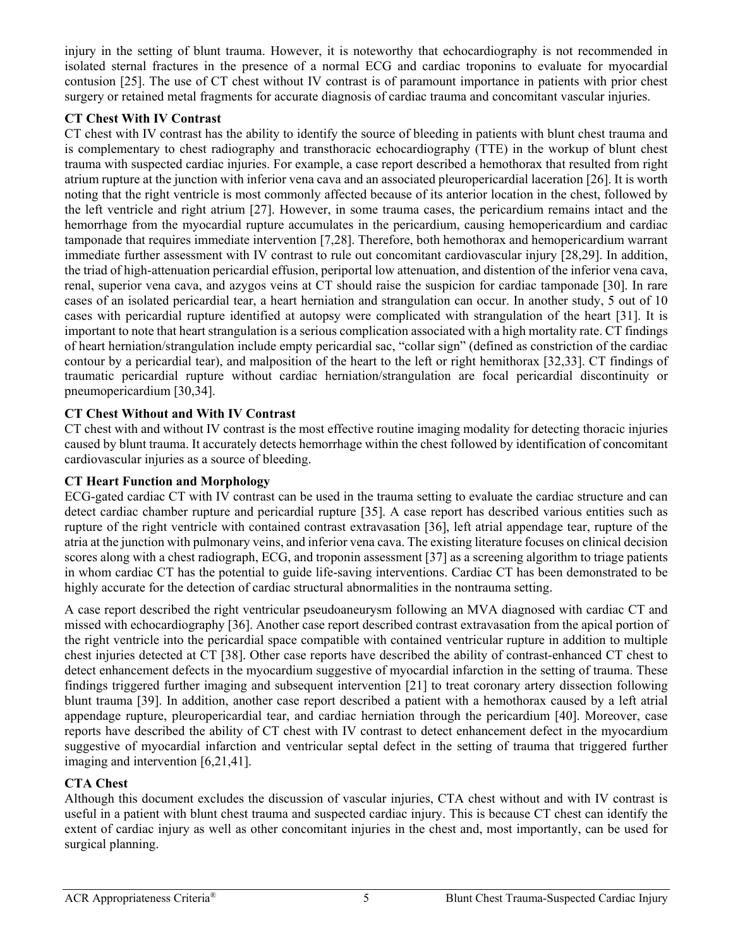injury in the setting of blunt trauma. However, it is noteworthy that echocardiography is not recommended in isolated sternal fractures in the presence of a normal ECG and cardiac troponins to evaluate for myocardial contusion [25]. The use of CT chest without IV contrast is of paramount importance in patients with prior chest surgery or retained metal fragments for accurate diagnosis of cardiac trauma and concomitant vascular injuries.

# **CT Chest With IV Contrast**

CT chest with IV contrast has the ability to identify the source of bleeding in patients with blunt chest trauma and is complementary to chest radiography and transthoracic echocardiography (TTE) in the workup of blunt chest trauma with suspected cardiac injuries. For example, a case report described a hemothorax that resulted from right atrium rupture at the junction with inferior vena cava and an associated pleuropericardial laceration [26]. It is worth noting that the right ventricle is most commonly affected because of its anterior location in the chest, followed by the left ventricle and right atrium [27]. However, in some trauma cases, the pericardium remains intact and the hemorrhage from the myocardial rupture accumulates in the pericardium, causing hemopericardium and cardiac tamponade that requires immediate intervention [7,28]. Therefore, both hemothorax and hemopericardium warrant immediate further assessment with IV contrast to rule out concomitant cardiovascular injury [28,29]. In addition, the triad of high-attenuation pericardial effusion, periportal low attenuation, and distention of the inferior vena cava, renal, superior vena cava, and azygos veins at CT should raise the suspicion for cardiac tamponade [30]. In rare cases of an isolated pericardial tear, a heart herniation and strangulation can occur. In another study, 5 out of 10 cases with pericardial rupture identified at autopsy were complicated with strangulation of the heart [31]. It is important to note that heart strangulation is a serious complication associated with a high mortality rate. CT findings of heart herniation/strangulation include empty pericardial sac, "collar sign" (defined as constriction of the cardiac contour by a pericardial tear), and malposition of the heart to the left or right hemithorax [32,33]. CT findings of traumatic pericardial rupture without cardiac herniation/strangulation are focal pericardial discontinuity or pneumopericardium [30,34].

## **CT Chest Without and With IV Contrast**

CT chest with and without IV contrast is the most effective routine imaging modality for detecting thoracic injuries caused by blunt trauma. It accurately detects hemorrhage within the chest followed by identification of concomitant cardiovascular injuries as a source of bleeding.

# **CT Heart Function and Morphology**

ECG-gated cardiac CT with IV contrast can be used in the trauma setting to evaluate the cardiac structure and can detect cardiac chamber rupture and pericardial rupture [35]. A case report has described various entities such as rupture of the right ventricle with contained contrast extravasation [36], left atrial appendage tear, rupture of the atria at the junction with pulmonary veins, and inferior vena cava. The existing literature focuses on clinical decision scores along with a chest radiograph, ECG, and troponin assessment [37] as a screening algorithm to triage patients in whom cardiac CT has the potential to guide life-saving interventions. Cardiac CT has been demonstrated to be highly accurate for the detection of cardiac structural abnormalities in the nontrauma setting.

A case report described the right ventricular pseudoaneurysm following an MVA diagnosed with cardiac CT and missed with echocardiography [36]. Another case report described contrast extravasation from the apical portion of the right ventricle into the pericardial space compatible with contained ventricular rupture in addition to multiple chest injuries detected at CT [38]. Other case reports have described the ability of contrast-enhanced CT chest to detect enhancement defects in the myocardium suggestive of myocardial infarction in the setting of trauma. These findings triggered further imaging and subsequent intervention [21] to treat coronary artery dissection following blunt trauma [39]. In addition, another case report described a patient with a hemothorax caused by a left atrial appendage rupture, pleuropericardial tear, and cardiac herniation through the pericardium [40]. Moreover, case reports have described the ability of CT chest with IV contrast to detect enhancement defect in the myocardium suggestive of myocardial infarction and ventricular septal defect in the setting of trauma that triggered further imaging and intervention [6,21,41].

# **CTA Chest**

Although this document excludes the discussion of vascular injuries, CTA chest without and with IV contrast is useful in a patient with blunt chest trauma and suspected cardiac injury. This is because CT chest can identify the extent of cardiac injury as well as other concomitant injuries in the chest and, most importantly, can be used for surgical planning.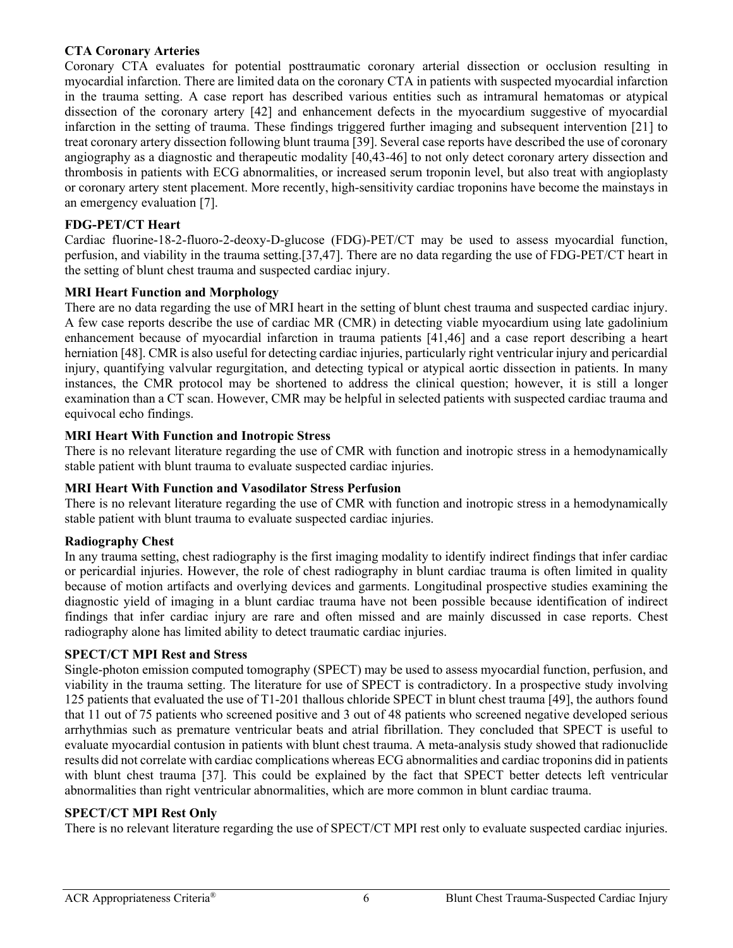## **CTA Coronary Arteries**

Coronary CTA evaluates for potential posttraumatic coronary arterial dissection or occlusion resulting in myocardial infarction. There are limited data on the coronary CTA in patients with suspected myocardial infarction in the trauma setting. A case report has described various entities such as intramural hematomas or atypical dissection of the coronary artery [42] and enhancement defects in the myocardium suggestive of myocardial infarction in the setting of trauma. These findings triggered further imaging and subsequent intervention [21] to treat coronary artery dissection following blunt trauma [39]. Several case reports have described the use of coronary angiography as a diagnostic and therapeutic modality [40,43-46] to not only detect coronary artery dissection and thrombosis in patients with ECG abnormalities, or increased serum troponin level, but also treat with angioplasty or coronary artery stent placement. More recently, high-sensitivity cardiac troponins have become the mainstays in an emergency evaluation [7].

## **FDG-PET/CT Heart**

Cardiac fluorine-18-2-fluoro-2-deoxy-D-glucose (FDG)-PET/CT may be used to assess myocardial function, perfusion, and viability in the trauma setting.[37,47]. There are no data regarding the use of FDG-PET/CT heart in the setting of blunt chest trauma and suspected cardiac injury.

### **MRI Heart Function and Morphology**

There are no data regarding the use of MRI heart in the setting of blunt chest trauma and suspected cardiac injury. A few case reports describe the use of cardiac MR (CMR) in detecting viable myocardium using late gadolinium enhancement because of myocardial infarction in trauma patients [41,46] and a case report describing a heart herniation [48]. CMR is also useful for detecting cardiac injuries, particularly right ventricular injury and pericardial injury, quantifying valvular regurgitation, and detecting typical or atypical aortic dissection in patients. In many instances, the CMR protocol may be shortened to address the clinical question; however, it is still a longer examination than a CT scan. However, CMR may be helpful in selected patients with suspected cardiac trauma and equivocal echo findings.

### **MRI Heart With Function and Inotropic Stress**

There is no relevant literature regarding the use of CMR with function and inotropic stress in a hemodynamically stable patient with blunt trauma to evaluate suspected cardiac injuries.

## **MRI Heart With Function and Vasodilator Stress Perfusion**

There is no relevant literature regarding the use of CMR with function and inotropic stress in a hemodynamically stable patient with blunt trauma to evaluate suspected cardiac injuries.

## **Radiography Chest**

In any trauma setting, chest radiography is the first imaging modality to identify indirect findings that infer cardiac or pericardial injuries. However, the role of chest radiography in blunt cardiac trauma is often limited in quality because of motion artifacts and overlying devices and garments. Longitudinal prospective studies examining the diagnostic yield of imaging in a blunt cardiac trauma have not been possible because identification of indirect findings that infer cardiac injury are rare and often missed and are mainly discussed in case reports. Chest radiography alone has limited ability to detect traumatic cardiac injuries.

## **SPECT/CT MPI Rest and Stress**

Single-photon emission computed tomography (SPECT) may be used to assess myocardial function, perfusion, and viability in the trauma setting. The literature for use of SPECT is contradictory. In a prospective study involving 125 patients that evaluated the use of T1-201 thallous chloride SPECT in blunt chest trauma [49], the authors found that 11 out of 75 patients who screened positive and 3 out of 48 patients who screened negative developed serious arrhythmias such as premature ventricular beats and atrial fibrillation. They concluded that SPECT is useful to evaluate myocardial contusion in patients with blunt chest trauma. A meta-analysis study showed that radionuclide results did not correlate with cardiac complications whereas ECG abnormalities and cardiac troponins did in patients with blunt chest trauma [37]. This could be explained by the fact that SPECT better detects left ventricular abnormalities than right ventricular abnormalities, which are more common in blunt cardiac trauma.

## **SPECT/CT MPI Rest Only**

There is no relevant literature regarding the use of SPECT/CT MPI rest only to evaluate suspected cardiac injuries.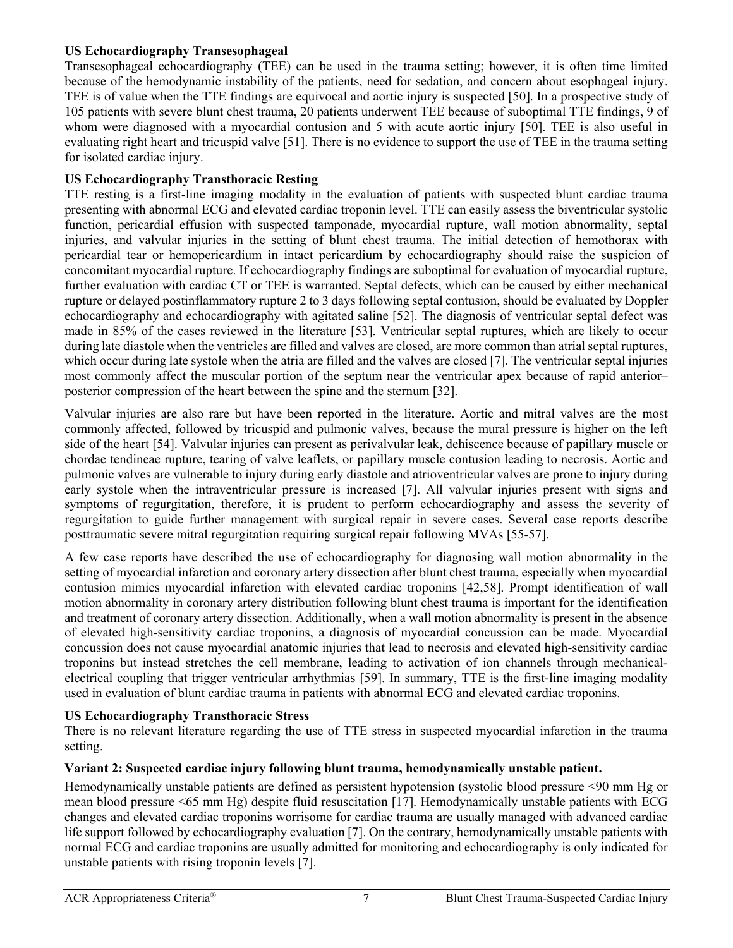## **US Echocardiography Transesophageal**

Transesophageal echocardiography (TEE) can be used in the trauma setting; however, it is often time limited because of the hemodynamic instability of the patients, need for sedation, and concern about esophageal injury. TEE is of value when the TTE findings are equivocal and aortic injury is suspected [50]. In a prospective study of 105 patients with severe blunt chest trauma, 20 patients underwent TEE because of suboptimal TTE findings, 9 of whom were diagnosed with a myocardial contusion and 5 with acute aortic injury [50]. TEE is also useful in evaluating right heart and tricuspid valve [51]. There is no evidence to support the use of TEE in the trauma setting for isolated cardiac injury.

# **US Echocardiography Transthoracic Resting**

TTE resting is a first-line imaging modality in the evaluation of patients with suspected blunt cardiac trauma presenting with abnormal ECG and elevated cardiac troponin level. TTE can easily assess the biventricular systolic function, pericardial effusion with suspected tamponade, myocardial rupture, wall motion abnormality, septal injuries, and valvular injuries in the setting of blunt chest trauma. The initial detection of hemothorax with pericardial tear or hemopericardium in intact pericardium by echocardiography should raise the suspicion of concomitant myocardial rupture. If echocardiography findings are suboptimal for evaluation of myocardial rupture, further evaluation with cardiac CT or TEE is warranted. Septal defects, which can be caused by either mechanical rupture or delayed postinflammatory rupture 2 to 3 days following septal contusion, should be evaluated by Doppler echocardiography and echocardiography with agitated saline [52]. The diagnosis of ventricular septal defect was made in 85% of the cases reviewed in the literature [53]. Ventricular septal ruptures, which are likely to occur during late diastole when the ventricles are filled and valves are closed, are more common than atrial septal ruptures, which occur during late systole when the atria are filled and the valves are closed [7]. The ventricular septal injuries most commonly affect the muscular portion of the septum near the ventricular apex because of rapid anterior– posterior compression of the heart between the spine and the sternum [32].

Valvular injuries are also rare but have been reported in the literature. Aortic and mitral valves are the most commonly affected, followed by tricuspid and pulmonic valves, because the mural pressure is higher on the left side of the heart [54]. Valvular injuries can present as perivalvular leak, dehiscence because of papillary muscle or chordae tendineae rupture, tearing of valve leaflets, or papillary muscle contusion leading to necrosis. Aortic and pulmonic valves are vulnerable to injury during early diastole and atrioventricular valves are prone to injury during early systole when the intraventricular pressure is increased [7]. All valvular injuries present with signs and symptoms of regurgitation, therefore, it is prudent to perform echocardiography and assess the severity of regurgitation to guide further management with surgical repair in severe cases. Several case reports describe posttraumatic severe mitral regurgitation requiring surgical repair following MVAs [55-57].

A few case reports have described the use of echocardiography for diagnosing wall motion abnormality in the setting of myocardial infarction and coronary artery dissection after blunt chest trauma, especially when myocardial contusion mimics myocardial infarction with elevated cardiac troponins [42,58]. Prompt identification of wall motion abnormality in coronary artery distribution following blunt chest trauma is important for the identification and treatment of coronary artery dissection. Additionally, when a wall motion abnormality is present in the absence of elevated high-sensitivity cardiac troponins, a diagnosis of myocardial concussion can be made. Myocardial concussion does not cause myocardial anatomic injuries that lead to necrosis and elevated high-sensitivity cardiac troponins but instead stretches the cell membrane, leading to activation of ion channels through mechanicalelectrical coupling that trigger ventricular arrhythmias [59]. In summary, TTE is the first-line imaging modality used in evaluation of blunt cardiac trauma in patients with abnormal ECG and elevated cardiac troponins.

# **US Echocardiography Transthoracic Stress**

There is no relevant literature regarding the use of TTE stress in suspected myocardial infarction in the trauma setting.

# **Variant 2: Suspected cardiac injury following blunt trauma, hemodynamically unstable patient.**

Hemodynamically unstable patients are defined as persistent hypotension (systolic blood pressure <90 mm Hg or mean blood pressure <65 mm Hg) despite fluid resuscitation [17]. Hemodynamically unstable patients with ECG changes and elevated cardiac troponins worrisome for cardiac trauma are usually managed with advanced cardiac life support followed by echocardiography evaluation [7]. On the contrary, hemodynamically unstable patients with normal ECG and cardiac troponins are usually admitted for monitoring and echocardiography is only indicated for unstable patients with rising troponin levels [7].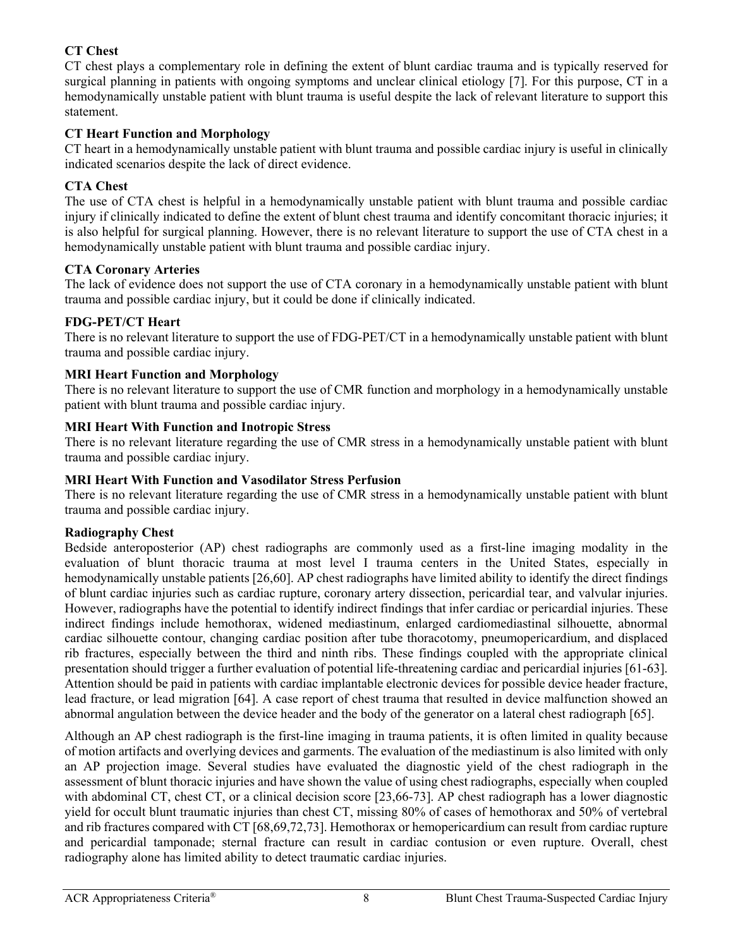# **CT Chest**

CT chest plays a complementary role in defining the extent of blunt cardiac trauma and is typically reserved for surgical planning in patients with ongoing symptoms and unclear clinical etiology [7]. For this purpose, CT in a hemodynamically unstable patient with blunt trauma is useful despite the lack of relevant literature to support this statement.

## **CT Heart Function and Morphology**

CT heart in a hemodynamically unstable patient with blunt trauma and possible cardiac injury is useful in clinically indicated scenarios despite the lack of direct evidence.

## **CTA Chest**

The use of CTA chest is helpful in a hemodynamically unstable patient with blunt trauma and possible cardiac injury if clinically indicated to define the extent of blunt chest trauma and identify concomitant thoracic injuries; it is also helpful for surgical planning. However, there is no relevant literature to support the use of CTA chest in a hemodynamically unstable patient with blunt trauma and possible cardiac injury.

## **CTA Coronary Arteries**

The lack of evidence does not support the use of CTA coronary in a hemodynamically unstable patient with blunt trauma and possible cardiac injury, but it could be done if clinically indicated.

## **FDG-PET/CT Heart**

There is no relevant literature to support the use of FDG-PET/CT in a hemodynamically unstable patient with blunt trauma and possible cardiac injury.

## **MRI Heart Function and Morphology**

There is no relevant literature to support the use of CMR function and morphology in a hemodynamically unstable patient with blunt trauma and possible cardiac injury.

## **MRI Heart With Function and Inotropic Stress**

There is no relevant literature regarding the use of CMR stress in a hemodynamically unstable patient with blunt trauma and possible cardiac injury.

## **MRI Heart With Function and Vasodilator Stress Perfusion**

There is no relevant literature regarding the use of CMR stress in a hemodynamically unstable patient with blunt trauma and possible cardiac injury.

## **Radiography Chest**

Bedside anteroposterior (AP) chest radiographs are commonly used as a first-line imaging modality in the evaluation of blunt thoracic trauma at most level I trauma centers in the United States, especially in hemodynamically unstable patients [26,60]. AP chest radiographs have limited ability to identify the direct findings of blunt cardiac injuries such as cardiac rupture, coronary artery dissection, pericardial tear, and valvular injuries. However, radiographs have the potential to identify indirect findings that infer cardiac or pericardial injuries. These indirect findings include hemothorax, widened mediastinum, enlarged cardiomediastinal silhouette, abnormal cardiac silhouette contour, changing cardiac position after tube thoracotomy, pneumopericardium, and displaced rib fractures, especially between the third and ninth ribs. These findings coupled with the appropriate clinical presentation should trigger a further evaluation of potential life-threatening cardiac and pericardial injuries [61-63]. Attention should be paid in patients with cardiac implantable electronic devices for possible device header fracture, lead fracture, or lead migration [64]. A case report of chest trauma that resulted in device malfunction showed an abnormal angulation between the device header and the body of the generator on a lateral chest radiograph [65].

Although an AP chest radiograph is the first-line imaging in trauma patients, it is often limited in quality because of motion artifacts and overlying devices and garments. The evaluation of the mediastinum is also limited with only an AP projection image. Several studies have evaluated the diagnostic yield of the chest radiograph in the assessment of blunt thoracic injuries and have shown the value of using chest radiographs, especially when coupled with abdominal CT, chest CT, or a clinical decision score [23,66-73]. AP chest radiograph has a lower diagnostic yield for occult blunt traumatic injuries than chest CT, missing 80% of cases of hemothorax and 50% of vertebral and rib fractures compared with CT [68,69,72,73]. Hemothorax or hemopericardium can result from cardiac rupture and pericardial tamponade; sternal fracture can result in cardiac contusion or even rupture. Overall, chest radiography alone has limited ability to detect traumatic cardiac injuries.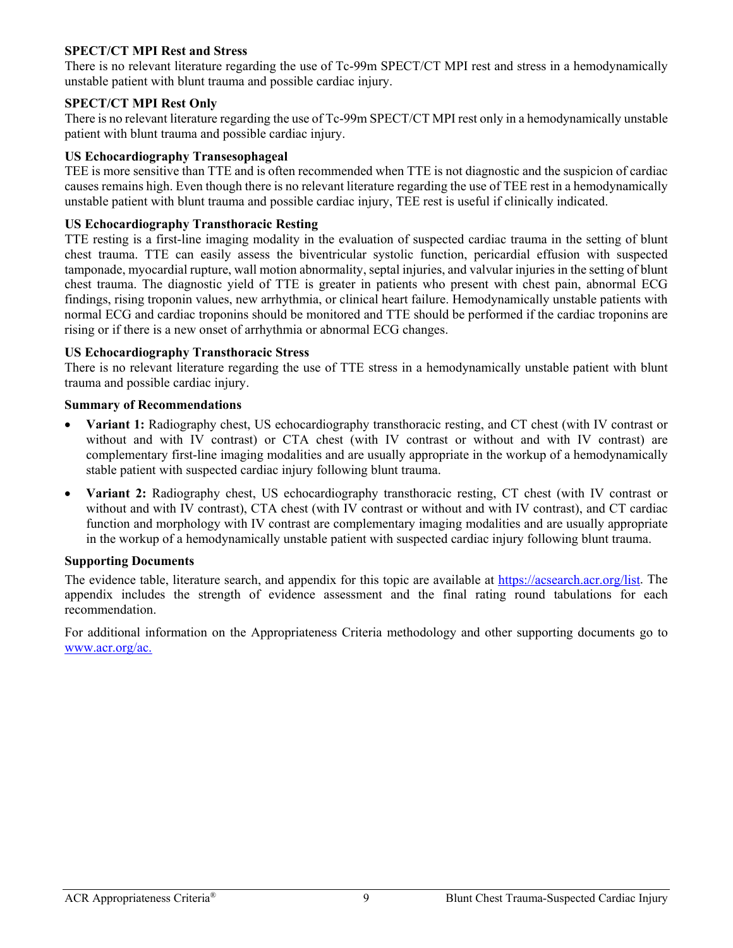## **SPECT/CT MPI Rest and Stress**

There is no relevant literature regarding the use of Tc-99m SPECT/CT MPI rest and stress in a hemodynamically unstable patient with blunt trauma and possible cardiac injury.

### **SPECT/CT MPI Rest Only**

There is no relevant literature regarding the use of Tc-99m SPECT/CT MPI rest only in a hemodynamically unstable patient with blunt trauma and possible cardiac injury.

### **US Echocardiography Transesophageal**

TEE is more sensitive than TTE and is often recommended when TTE is not diagnostic and the suspicion of cardiac causes remains high. Even though there is no relevant literature regarding the use of TEE rest in a hemodynamically unstable patient with blunt trauma and possible cardiac injury, TEE rest is useful if clinically indicated.

### **US Echocardiography Transthoracic Resting**

TTE resting is a first-line imaging modality in the evaluation of suspected cardiac trauma in the setting of blunt chest trauma. TTE can easily assess the biventricular systolic function, pericardial effusion with suspected tamponade, myocardial rupture, wall motion abnormality, septal injuries, and valvular injuries in the setting of blunt chest trauma. The diagnostic yield of TTE is greater in patients who present with chest pain, abnormal ECG findings, rising troponin values, new arrhythmia, or clinical heart failure. Hemodynamically unstable patients with normal ECG and cardiac troponins should be monitored and TTE should be performed if the cardiac troponins are rising or if there is a new onset of arrhythmia or abnormal ECG changes.

#### **US Echocardiography Transthoracic Stress**

There is no relevant literature regarding the use of TTE stress in a hemodynamically unstable patient with blunt trauma and possible cardiac injury.

#### **Summary of Recommendations**

- **Variant 1:** Radiography chest, US echocardiography transthoracic resting, and CT chest (with IV contrast or without and with IV contrast) or CTA chest (with IV contrast or without and with IV contrast) are complementary first-line imaging modalities and are usually appropriate in the workup of a hemodynamically stable patient with suspected cardiac injury following blunt trauma.
- **Variant 2:** Radiography chest, US echocardiography transthoracic resting, CT chest (with IV contrast or without and with IV contrast), CTA chest (with IV contrast or without and with IV contrast), and CT cardiac function and morphology with IV contrast are complementary imaging modalities and are usually appropriate in the workup of a hemodynamically unstable patient with suspected cardiac injury following blunt trauma.

#### **Supporting Documents**

The evidence table, literature search, and appendix for this topic are available at [https://acsearch.acr.org/list.](https://acsearch.acr.org/list) The appendix includes the strength of evidence assessment and the final rating round tabulations for each recommendation.

For additional information on the Appropriateness Criteria methodology and other supporting documents go to [www.acr.org/ac.](https://www.acr.org/Clinical-Resources/ACR-Appropriateness-Criteria)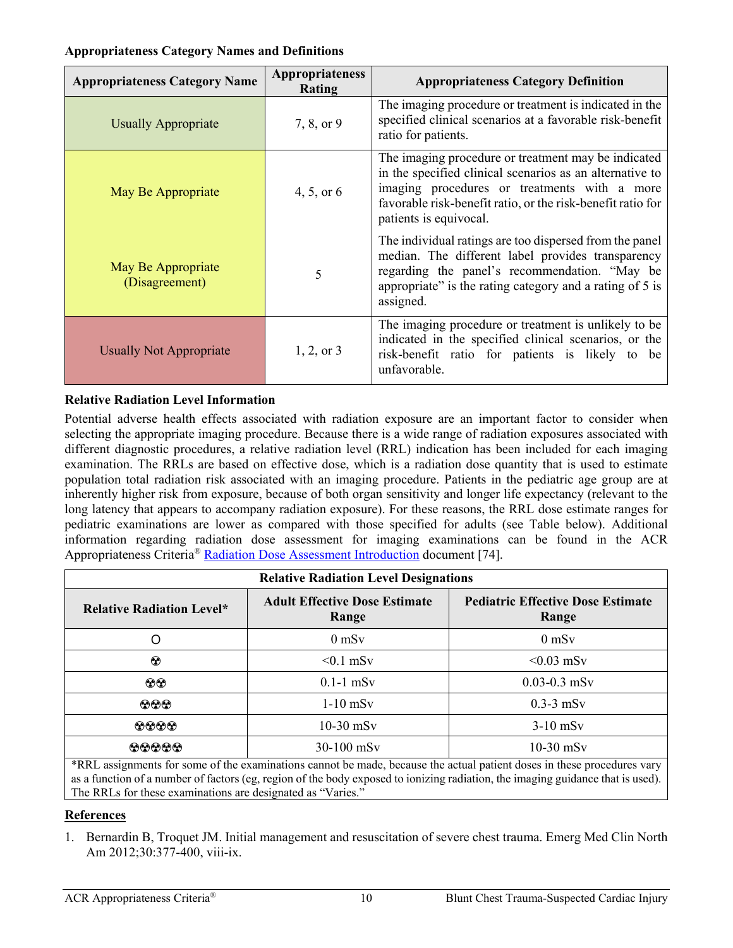### **Appropriateness Category Names and Definitions**

| <b>Appropriateness Category Name</b> | <b>Appropriateness</b><br>Rating | <b>Appropriateness Category Definition</b>                                                                                                                                                                                                               |
|--------------------------------------|----------------------------------|----------------------------------------------------------------------------------------------------------------------------------------------------------------------------------------------------------------------------------------------------------|
| <b>Usually Appropriate</b>           | 7, 8, or 9                       | The imaging procedure or treatment is indicated in the<br>specified clinical scenarios at a favorable risk-benefit<br>ratio for patients.                                                                                                                |
| May Be Appropriate                   | 4, 5, or $6$                     | The imaging procedure or treatment may be indicated<br>in the specified clinical scenarios as an alternative to<br>imaging procedures or treatments with a more<br>favorable risk-benefit ratio, or the risk-benefit ratio for<br>patients is equivocal. |
| May Be Appropriate<br>(Disagreement) | 5                                | The individual ratings are too dispersed from the panel<br>median. The different label provides transparency<br>regarding the panel's recommendation. "May be<br>appropriate" is the rating category and a rating of 5 is<br>assigned.                   |
| <b>Usually Not Appropriate</b>       | $1, 2,$ or 3                     | The imaging procedure or treatment is unlikely to be<br>indicated in the specified clinical scenarios, or the<br>risk-benefit ratio for patients is likely to be<br>unfavorable.                                                                         |

## **Relative Radiation Level Information**

Potential adverse health effects associated with radiation exposure are an important factor to consider when selecting the appropriate imaging procedure. Because there is a wide range of radiation exposures associated with different diagnostic procedures, a relative radiation level (RRL) indication has been included for each imaging examination. The RRLs are based on effective dose, which is a radiation dose quantity that is used to estimate population total radiation risk associated with an imaging procedure. Patients in the pediatric age group are at inherently higher risk from exposure, because of both organ sensitivity and longer life expectancy (relevant to the long latency that appears to accompany radiation exposure). For these reasons, the RRL dose estimate ranges for pediatric examinations are lower as compared with those specified for adults (see Table below). Additional information regarding radiation dose assessment for imaging examinations can be found in the ACR Appropriateness Criteria® [Radiation Dose Assessment Introduction](https://www.acr.org/-/media/ACR/Files/Appropriateness-Criteria/RadiationDoseAssessmentIntro.pdf) document [74].

| <b>Relative Radiation Level Designations</b> |                                               |                                                   |  |  |
|----------------------------------------------|-----------------------------------------------|---------------------------------------------------|--|--|
| <b>Relative Radiation Level*</b>             | <b>Adult Effective Dose Estimate</b><br>Range | <b>Pediatric Effective Dose Estimate</b><br>Range |  |  |
| O                                            | $0$ mS $v$                                    | $0$ mS $v$                                        |  |  |
| ⊛                                            | $< 0.1$ mSv                                   | $< 0.03$ mSv                                      |  |  |
| $\odot\odot$                                 | $0.1-1$ mSv                                   | $0.03 - 0.3$ mSv                                  |  |  |
| $\odot \odot \odot$                          | $1-10$ mSv                                    | $0.3-3$ mS <sub>v</sub>                           |  |  |
| $\odot\odot\odot$                            | $10-30$ mSv                                   | $3-10$ mS <sub>v</sub>                            |  |  |
| 00000<br>$\sim$ $\sim$<br>$\sim$ $   \sim$   | $30-100$ mSv                                  | $10-30$ mS <sub>v</sub>                           |  |  |

\*RRL assignments for some of the examinations cannot be made, because the actual patient doses in these procedures vary as a function of a number of factors (eg, region of the body exposed to ionizing radiation, the imaging guidance that is used). The RRLs for these examinations are designated as "Varies."

## **References**

1. Bernardin B, Troquet JM. Initial management and resuscitation of severe chest trauma. Emerg Med Clin North Am 2012;30:377-400, viii-ix.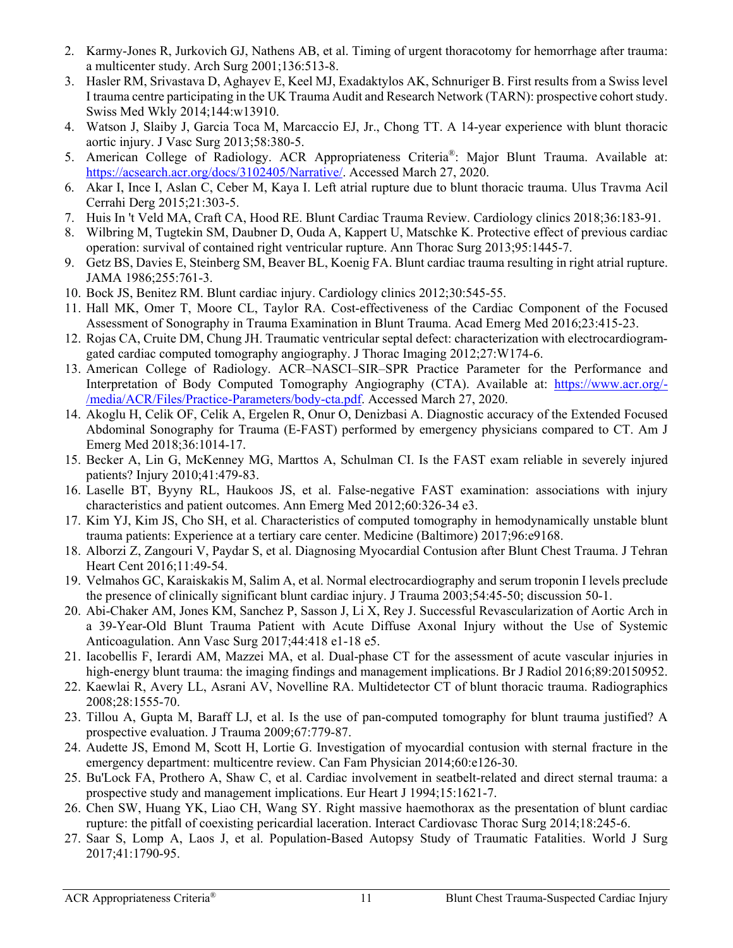- 2. Karmy-Jones R, Jurkovich GJ, Nathens AB, et al. Timing of urgent thoracotomy for hemorrhage after trauma: a multicenter study. Arch Surg 2001;136:513-8.
- 3. Hasler RM, Srivastava D, Aghayev E, Keel MJ, Exadaktylos AK, Schnuriger B. First results from a Swiss level I trauma centre participating in the UK Trauma Audit and Research Network (TARN): prospective cohort study. Swiss Med Wkly 2014;144:w13910.
- 4. Watson J, Slaiby J, Garcia Toca M, Marcaccio EJ, Jr., Chong TT. A 14-year experience with blunt thoracic aortic injury. J Vasc Surg 2013;58:380-5.
- 5. American College of Radiology. ACR Appropriateness Criteria®: Major Blunt Trauma. Available at: [https://acsearch.acr.org/docs/3102405/Narrative/.](https://acsearch.acr.org/docs/3102405/Narrative/) Accessed March 27, 2020.
- 6. Akar I, Ince I, Aslan C, Ceber M, Kaya I. Left atrial rupture due to blunt thoracic trauma. Ulus Travma Acil Cerrahi Derg 2015;21:303-5.
- 7. Huis In 't Veld MA, Craft CA, Hood RE. Blunt Cardiac Trauma Review. Cardiology clinics 2018;36:183-91.
- 8. Wilbring M, Tugtekin SM, Daubner D, Ouda A, Kappert U, Matschke K. Protective effect of previous cardiac operation: survival of contained right ventricular rupture. Ann Thorac Surg 2013;95:1445-7.
- 9. Getz BS, Davies E, Steinberg SM, Beaver BL, Koenig FA. Blunt cardiac trauma resulting in right atrial rupture. JAMA 1986;255:761-3.
- 10. Bock JS, Benitez RM. Blunt cardiac injury. Cardiology clinics 2012;30:545-55.
- 11. Hall MK, Omer T, Moore CL, Taylor RA. Cost-effectiveness of the Cardiac Component of the Focused Assessment of Sonography in Trauma Examination in Blunt Trauma. Acad Emerg Med 2016;23:415-23.
- 12. Rojas CA, Cruite DM, Chung JH. Traumatic ventricular septal defect: characterization with electrocardiogramgated cardiac computed tomography angiography. J Thorac Imaging 2012;27:W174-6.
- 13. American College of Radiology. ACR–NASCI–SIR–SPR Practice Parameter for the Performance and Interpretation of Body Computed Tomography Angiography (CTA). Available at: [https://www.acr.org/-](https://www.acr.org/-/media/ACR/Files/Practice-Parameters/body-cta.pdf) [/media/ACR/Files/Practice-Parameters/body-cta.pdf.](https://www.acr.org/-/media/ACR/Files/Practice-Parameters/body-cta.pdf) Accessed March 27, 2020.
- 14. Akoglu H, Celik OF, Celik A, Ergelen R, Onur O, Denizbasi A. Diagnostic accuracy of the Extended Focused Abdominal Sonography for Trauma (E-FAST) performed by emergency physicians compared to CT. Am J Emerg Med 2018;36:1014-17.
- 15. Becker A, Lin G, McKenney MG, Marttos A, Schulman CI. Is the FAST exam reliable in severely injured patients? Injury 2010;41:479-83.
- 16. Laselle BT, Byyny RL, Haukoos JS, et al. False-negative FAST examination: associations with injury characteristics and patient outcomes. Ann Emerg Med 2012;60:326-34 e3.
- 17. Kim YJ, Kim JS, Cho SH, et al. Characteristics of computed tomography in hemodynamically unstable blunt trauma patients: Experience at a tertiary care center. Medicine (Baltimore) 2017;96:e9168.
- 18. Alborzi Z, Zangouri V, Paydar S, et al. Diagnosing Myocardial Contusion after Blunt Chest Trauma. J Tehran Heart Cent 2016;11:49-54.
- 19. Velmahos GC, Karaiskakis M, Salim A, et al. Normal electrocardiography and serum troponin I levels preclude the presence of clinically significant blunt cardiac injury. J Trauma 2003;54:45-50; discussion 50-1.
- 20. Abi-Chaker AM, Jones KM, Sanchez P, Sasson J, Li X, Rey J. Successful Revascularization of Aortic Arch in a 39-Year-Old Blunt Trauma Patient with Acute Diffuse Axonal Injury without the Use of Systemic Anticoagulation. Ann Vasc Surg 2017;44:418 e1-18 e5.
- 21. Iacobellis F, Ierardi AM, Mazzei MA, et al. Dual-phase CT for the assessment of acute vascular injuries in high-energy blunt trauma: the imaging findings and management implications. Br J Radiol 2016;89:20150952.
- 22. Kaewlai R, Avery LL, Asrani AV, Novelline RA. Multidetector CT of blunt thoracic trauma. Radiographics 2008;28:1555-70.
- 23. Tillou A, Gupta M, Baraff LJ, et al. Is the use of pan-computed tomography for blunt trauma justified? A prospective evaluation. J Trauma 2009;67:779-87.
- 24. Audette JS, Emond M, Scott H, Lortie G. Investigation of myocardial contusion with sternal fracture in the emergency department: multicentre review. Can Fam Physician 2014;60:e126-30.
- 25. Bu'Lock FA, Prothero A, Shaw C, et al. Cardiac involvement in seatbelt-related and direct sternal trauma: a prospective study and management implications. Eur Heart J 1994;15:1621-7.
- 26. Chen SW, Huang YK, Liao CH, Wang SY. Right massive haemothorax as the presentation of blunt cardiac rupture: the pitfall of coexisting pericardial laceration. Interact Cardiovasc Thorac Surg 2014;18:245-6.
- 27. Saar S, Lomp A, Laos J, et al. Population-Based Autopsy Study of Traumatic Fatalities. World J Surg 2017;41:1790-95.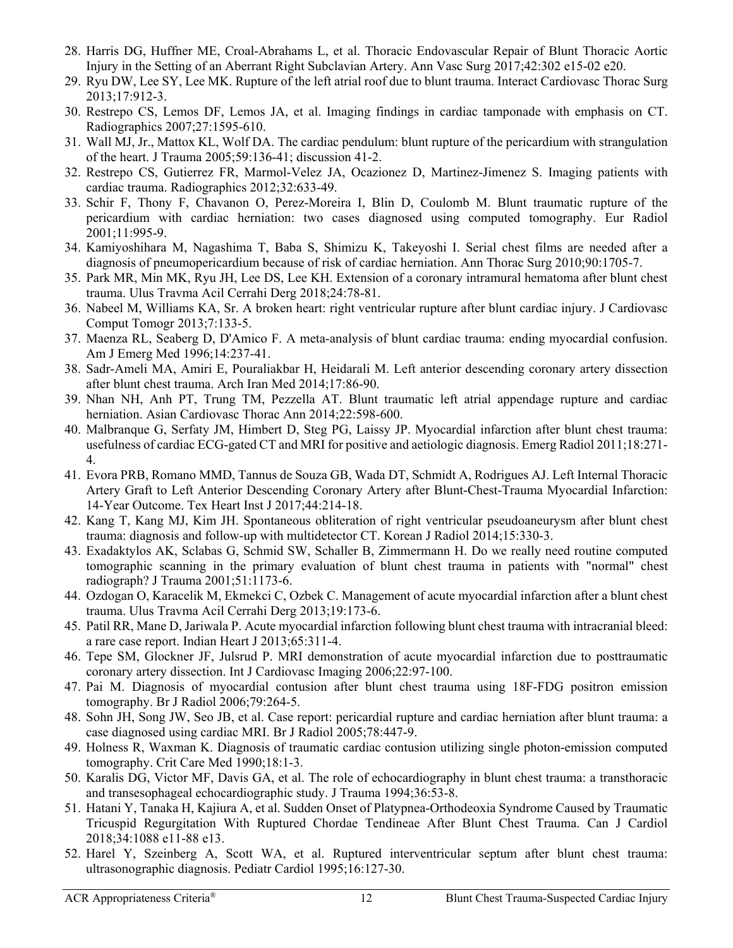- 28. Harris DG, Huffner ME, Croal-Abrahams L, et al. Thoracic Endovascular Repair of Blunt Thoracic Aortic Injury in the Setting of an Aberrant Right Subclavian Artery. Ann Vasc Surg 2017;42:302 e15-02 e20.
- 29. Ryu DW, Lee SY, Lee MK. Rupture of the left atrial roof due to blunt trauma. Interact Cardiovasc Thorac Surg 2013;17:912-3.
- 30. Restrepo CS, Lemos DF, Lemos JA, et al. Imaging findings in cardiac tamponade with emphasis on CT. Radiographics 2007;27:1595-610.
- 31. Wall MJ, Jr., Mattox KL, Wolf DA. The cardiac pendulum: blunt rupture of the pericardium with strangulation of the heart. J Trauma 2005;59:136-41; discussion 41-2.
- 32. Restrepo CS, Gutierrez FR, Marmol-Velez JA, Ocazionez D, Martinez-Jimenez S. Imaging patients with cardiac trauma. Radiographics 2012;32:633-49.
- 33. Schir F, Thony F, Chavanon O, Perez-Moreira I, Blin D, Coulomb M. Blunt traumatic rupture of the pericardium with cardiac herniation: two cases diagnosed using computed tomography. Eur Radiol 2001;11:995-9.
- 34. Kamiyoshihara M, Nagashima T, Baba S, Shimizu K, Takeyoshi I. Serial chest films are needed after a diagnosis of pneumopericardium because of risk of cardiac herniation. Ann Thorac Surg 2010;90:1705-7.
- 35. Park MR, Min MK, Ryu JH, Lee DS, Lee KH. Extension of a coronary intramural hematoma after blunt chest trauma. Ulus Travma Acil Cerrahi Derg 2018;24:78-81.
- 36. Nabeel M, Williams KA, Sr. A broken heart: right ventricular rupture after blunt cardiac injury. J Cardiovasc Comput Tomogr 2013;7:133-5.
- 37. Maenza RL, Seaberg D, D'Amico F. A meta-analysis of blunt cardiac trauma: ending myocardial confusion. Am J Emerg Med 1996;14:237-41.
- 38. Sadr-Ameli MA, Amiri E, Pouraliakbar H, Heidarali M. Left anterior descending coronary artery dissection after blunt chest trauma. Arch Iran Med 2014;17:86-90.
- 39. Nhan NH, Anh PT, Trung TM, Pezzella AT. Blunt traumatic left atrial appendage rupture and cardiac herniation. Asian Cardiovasc Thorac Ann 2014;22:598-600.
- 40. Malbranque G, Serfaty JM, Himbert D, Steg PG, Laissy JP. Myocardial infarction after blunt chest trauma: usefulness of cardiac ECG-gated CT and MRI for positive and aetiologic diagnosis. Emerg Radiol 2011;18:271- 4.
- 41. Evora PRB, Romano MMD, Tannus de Souza GB, Wada DT, Schmidt A, Rodrigues AJ. Left Internal Thoracic Artery Graft to Left Anterior Descending Coronary Artery after Blunt-Chest-Trauma Myocardial Infarction: 14-Year Outcome. Tex Heart Inst J 2017;44:214-18.
- 42. Kang T, Kang MJ, Kim JH. Spontaneous obliteration of right ventricular pseudoaneurysm after blunt chest trauma: diagnosis and follow-up with multidetector CT. Korean J Radiol 2014;15:330-3.
- 43. Exadaktylos AK, Sclabas G, Schmid SW, Schaller B, Zimmermann H. Do we really need routine computed tomographic scanning in the primary evaluation of blunt chest trauma in patients with "normal" chest radiograph? J Trauma 2001;51:1173-6.
- 44. Ozdogan O, Karacelik M, Ekmekci C, Ozbek C. Management of acute myocardial infarction after a blunt chest trauma. Ulus Travma Acil Cerrahi Derg 2013;19:173-6.
- 45. Patil RR, Mane D, Jariwala P. Acute myocardial infarction following blunt chest trauma with intracranial bleed: a rare case report. Indian Heart J 2013;65:311-4.
- 46. Tepe SM, Glockner JF, Julsrud P. MRI demonstration of acute myocardial infarction due to posttraumatic coronary artery dissection. Int J Cardiovasc Imaging 2006;22:97-100.
- 47. Pai M. Diagnosis of myocardial contusion after blunt chest trauma using 18F-FDG positron emission tomography. Br J Radiol 2006;79:264-5.
- 48. Sohn JH, Song JW, Seo JB, et al. Case report: pericardial rupture and cardiac herniation after blunt trauma: a case diagnosed using cardiac MRI. Br J Radiol 2005;78:447-9.
- 49. Holness R, Waxman K. Diagnosis of traumatic cardiac contusion utilizing single photon-emission computed tomography. Crit Care Med 1990;18:1-3.
- 50. Karalis DG, Victor MF, Davis GA, et al. The role of echocardiography in blunt chest trauma: a transthoracic and transesophageal echocardiographic study. J Trauma 1994;36:53-8.
- 51. Hatani Y, Tanaka H, Kajiura A, et al. Sudden Onset of Platypnea-Orthodeoxia Syndrome Caused by Traumatic Tricuspid Regurgitation With Ruptured Chordae Tendineae After Blunt Chest Trauma. Can J Cardiol 2018;34:1088 e11-88 e13.
- 52. Harel Y, Szeinberg A, Scott WA, et al. Ruptured interventricular septum after blunt chest trauma: ultrasonographic diagnosis. Pediatr Cardiol 1995;16:127-30.